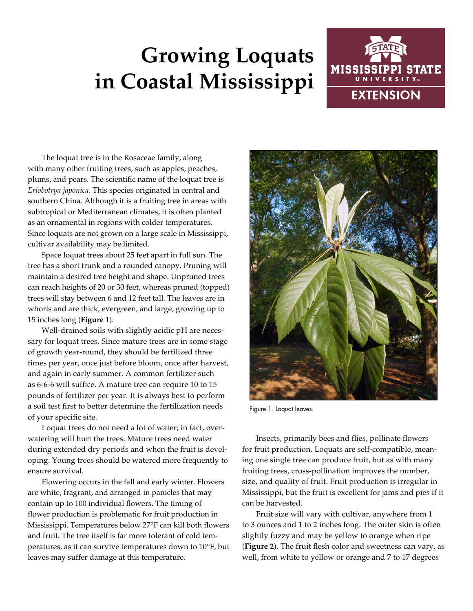## **Growing Loquats in Coastal Mississippi**



The loquat tree is in the Rosaceae family, along with many other fruiting trees, such as apples, peaches, plums, and pears. The scientific name of the loquat tree is *Eriobotrya japonica*. This species originated in central and southern China. Although it is a fruiting tree in areas with subtropical or Mediterranean climates, it is often planted as an ornamental in regions with colder temperatures. Since loquats are not grown on a large scale in Mississippi, cultivar availability may be limited.

Space loquat trees about 25 feet apart in full sun. The tree has a short trunk and a rounded canopy. Pruning will maintain a desired tree height and shape. Unpruned trees can reach heights of 20 or 30 feet, whereas pruned (topped) trees will stay between 6 and 12 feet tall. The leaves are in whorls and are thick, evergreen, and large, growing up to 15 inches long (**Figure 1**).

Well-drained soils with slightly acidic pH are necessary for loquat trees. Since mature trees are in some stage of growth year-round, they should be fertilized three times per year, once just before bloom, once after harvest, and again in early summer. A common fertilizer such as 6-6-6 will suffice. A mature tree can require 10 to 15 pounds of fertilizer per year. It is always best to perform a soil test first to better determine the fertilization needs of your specific site.

Loquat trees do not need a lot of water; in fact, overwatering will hurt the trees. Mature trees need water during extended dry periods and when the fruit is developing. Young trees should be watered more frequently to ensure survival.

Flowering occurs in the fall and early winter. Flowers are white, fragrant, and arranged in panicles that may contain up to 100 individual flowers. The timing of flower production is problematic for fruit production in Mississippi. Temperatures below 27°F can kill both flowers and fruit. The tree itself is far more tolerant of cold temperatures, as it can survive temperatures down to 10°F, but leaves may suffer damage at this temperature.



Figure 1. Loquat leaves.

Insects, primarily bees and flies, pollinate flowers for fruit production. Loquats are self-compatible, meaning one single tree can produce fruit, but as with many fruiting trees, cross-pollination improves the number, size, and quality of fruit. Fruit production is irregular in Mississippi, but the fruit is excellent for jams and pies if it can be harvested.

Fruit size will vary with cultivar, anywhere from 1 to 3 ounces and 1 to 2 inches long. The outer skin is often slightly fuzzy and may be yellow to orange when ripe (**Figure 2**). The fruit flesh color and sweetness can vary, as well, from white to yellow or orange and 7 to 17 degrees